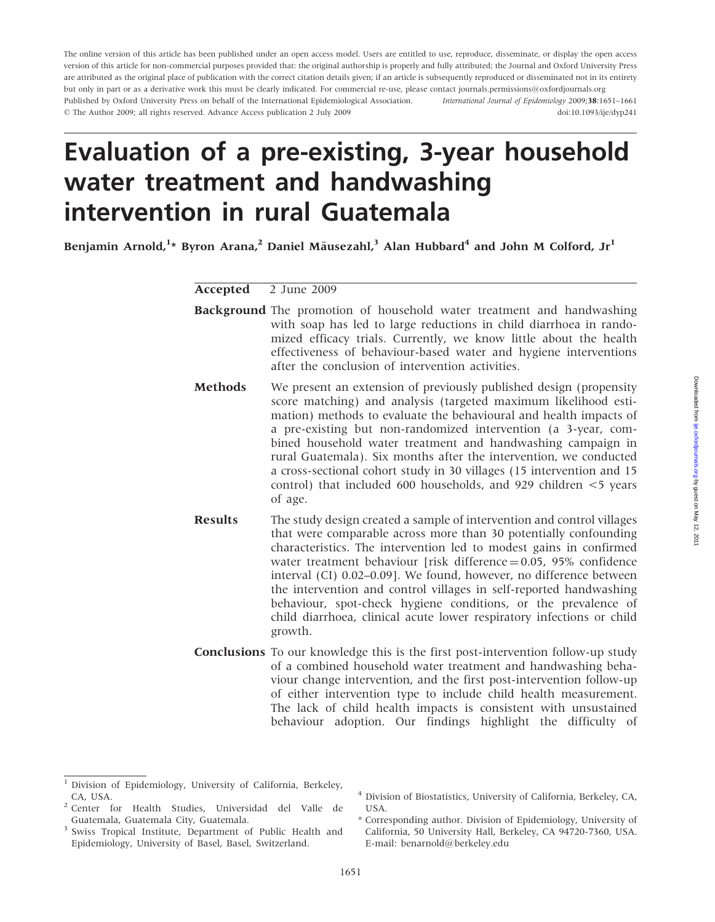The online version of this article has been published under an open access model. Users are entitled to use, reproduce, disseminate, or display the open access version of this article for non-commercial purposes provided that: the original authorship is properly and fully attributed; the Journal and Oxford University Press are attributed as the original place of publication with the correct citation details given; if an article is subsequently reproduced or disseminated not in its entirety but only in part or as a derivative work this must be clearly indicated. For commercial re-use, please contact journals.permissions@oxfordjournals.org Published by Oxford University Press on behalf of the International Epidemiological Association. - The Author 2009; all rights reserved. Advance Access publication 2 July 2009 International Journal of Epidemiology 2009;38:1651–1661 doi:10.1093/ije/dyp241

# Evaluation of a pre-existing, 3-year household water treatment and handwashing intervention in rural Guatemala

Benjamin Arnold,<sup>1</sup>\* Byron Arana,<sup>2</sup> Daniel Mäusezahl,<sup>3</sup> Alan Hubbard<sup>4</sup> and John M Colford, Jr<sup>1</sup>

Accepted 2 June 2009

Background The promotion of household water treatment and handwashing with soap has led to large reductions in child diarrhoea in randomized efficacy trials. Currently, we know little about the health effectiveness of behaviour-based water and hygiene interventions after the conclusion of intervention activities.

Methods We present an extension of previously published design (propensity score matching) and analysis (targeted maximum likelihood estimation) methods to evaluate the behavioural and health impacts of a pre-existing but non-randomized intervention (a 3-year, combined household water treatment and handwashing campaign in rural Guatemala). Six months after the intervention, we conducted a cross-sectional cohort study in 30 villages (15 intervention and 15 control) that included 600 households, and 929 children <5 years of age.

Results The study design created a sample of intervention and control villages that were comparable across more than 30 potentially confounding characteristics. The intervention led to modest gains in confirmed water treatment behaviour [risk difference  $= 0.05$ , 95% confidence interval (CI) 0.02–0.09]. We found, however, no difference between the intervention and control villages in self-reported handwashing behaviour, spot-check hygiene conditions, or the prevalence of child diarrhoea, clinical acute lower respiratory infections or child growth.

Conclusions To our knowledge this is the first post-intervention follow-up study of a combined household water treatment and handwashing behaviour change intervention, and the first post-intervention follow-up of either intervention type to include child health measurement. The lack of child health impacts is consistent with unsustained behaviour adoption. Our findings highlight the difficulty of

CA, USA. <sup>2</sup> Center for Health Studies, Universidad del Valle de Guatemala, Guatemala City, Guatemala. <sup>3</sup> Swiss Tropical Institute, Department of Public Health and

<sup>&</sup>lt;sup>1</sup> Division of Epidemiology, University of California, Berkeley,

Epidemiology, University of Basel, Basel, Switzerland.

<sup>4</sup> Division of Biostatistics, University of California, Berkeley, CA, USA.

<sup>\*</sup> Corresponding author. Division of Epidemiology, University of California, 50 University Hall, Berkeley, CA 94720-7360, USA. E-mail: benarnold@berkeley.edu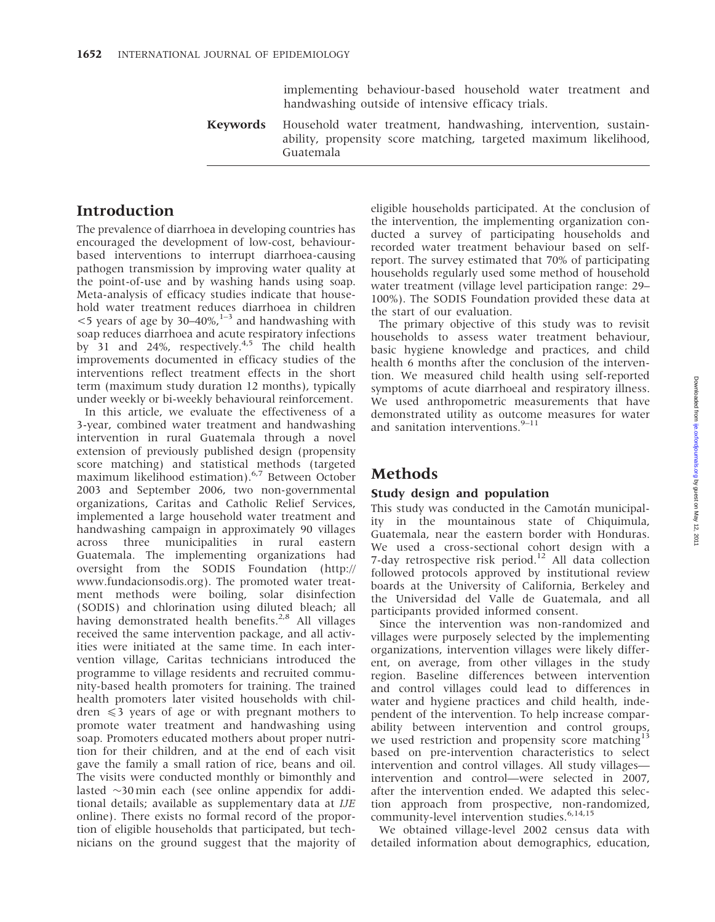implementing behaviour-based household water treatment and handwashing outside of intensive efficacy trials.

Keywords Household water treatment, handwashing, intervention, sustainability, propensity score matching, targeted maximum likelihood, Guatemala

# Introduction

The prevalence of diarrhoea in developing countries has encouraged the development of low-cost, behaviourbased interventions to interrupt diarrhoea-causing pathogen transmission by improving water quality at the point-of-use and by washing hands using soap. Meta-analysis of efficacy studies indicate that household water treatment reduces diarrhoea in children  $\le$  5 years of age by 30–40%,<sup>1–3</sup> and handwashing with soap reduces diarrhoea and acute respiratory infections by  $31$  and  $24\%$ , respectively.<sup>4,5</sup> The child health improvements documented in efficacy studies of the interventions reflect treatment effects in the short term (maximum study duration 12 months), typically under weekly or bi-weekly behavioural reinforcement.

In this article, we evaluate the effectiveness of a 3-year, combined water treatment and handwashing intervention in rural Guatemala through a novel extension of previously published design (propensity score matching) and statistical methods (targeted maximum likelihood estimation).6,7 Between October 2003 and September 2006, two non-governmental organizations, Caritas and Catholic Relief Services, implemented a large household water treatment and handwashing campaign in approximately 90 villages across three municipalities in rural eastern Guatemala. The implementing organizations had oversight from the SODIS Foundation [\(http://](http://) www.fundacionsodis.org). The promoted water treatment methods were boiling, solar disinfection (SODIS) and chlorination using diluted bleach; all having demonstrated health benefits.<sup>2,8</sup> All villages received the same intervention package, and all activities were initiated at the same time. In each intervention village, Caritas technicians introduced the programme to village residents and recruited community-based health promoters for training. The trained health promoters later visited households with children  $\leq 3$  years of age or with pregnant mothers to promote water treatment and handwashing using soap. Promoters educated mothers about proper nutrition for their children, and at the end of each visit gave the family a small ration of rice, beans and oil. The visits were conducted monthly or bimonthly and lasted  $\sim$ 30 min each (see online appendix for additional details; available as supplementary data at IJE online). There exists no formal record of the proportion of eligible households that participated, but technicians on the ground suggest that the majority of

eligible households participated. At the conclusion of the intervention, the implementing organization conducted a survey of participating households and recorded water treatment behaviour based on selfreport. The survey estimated that 70% of participating households regularly used some method of household water treatment (village level participation range: 29– 100%). The SODIS Foundation provided these data at the start of our evaluation.

The primary objective of this study was to revisit households to assess water treatment behaviour, basic hygiene knowledge and practices, and child health 6 months after the conclusion of the intervention. We measured child health using self-reported symptoms of acute diarrhoeal and respiratory illness. We used anthropometric measurements that have demonstrated utility as outcome measures for water and sanitation interventions. $9-11$ 

## Methods

## Study design and population

This study was conducted in the Camotán municipality in the mountainous state of Chiquimula, Guatemala, near the eastern border with Honduras. We used a cross-sectional cohort design with a 7-day retrospective risk period.<sup>12</sup> All data collection followed protocols approved by institutional review boards at the University of California, Berkeley and the Universidad del Valle de Guatemala, and all participants provided informed consent.

Since the intervention was non-randomized and villages were purposely selected by the implementing organizations, intervention villages were likely different, on average, from other villages in the study region. Baseline differences between intervention and control villages could lead to differences in water and hygiene practices and child health, independent of the intervention. To help increase comparability between intervention and control groups, we used restriction and propensity score matching<sup>13</sup> based on pre-intervention characteristics to select intervention and control villages. All study villages intervention and control—were selected in 2007, after the intervention ended. We adapted this selection approach from prospective, non-randomized, community-level intervention studies.6,14,15

We obtained village-level 2002 census data with detailed information about demographics, education,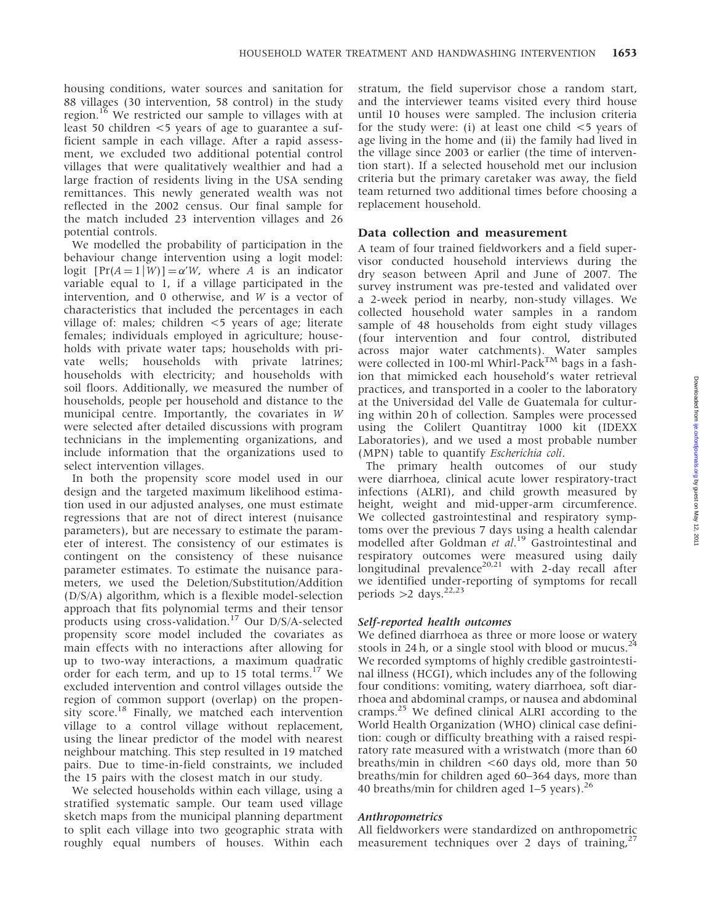housing conditions, water sources and sanitation for 88 villages (30 intervention, 58 control) in the study region.<sup>16</sup> We restricted our sample to villages with at least 50 children <5 years of age to guarantee a sufficient sample in each village. After a rapid assessment, we excluded two additional potential control villages that were qualitatively wealthier and had a large fraction of residents living in the USA sending remittances. This newly generated wealth was not reflected in the 2002 census. Our final sample for the match included 23 intervention villages and 26 potential controls.

We modelled the probability of participation in the behaviour change intervention using a logit model: logit  $[Pr(A = 1 | W)] = \alpha'W$ , where A is an indicator variable equal to 1, if a village participated in the intervention, and 0 otherwise, and W is a vector of characteristics that included the percentages in each village of: males; children <5 years of age; literate females; individuals employed in agriculture; households with private water taps; households with private wells; households with private latrines; households with electricity; and households with soil floors. Additionally, we measured the number of households, people per household and distance to the municipal centre. Importantly, the covariates in W were selected after detailed discussions with program technicians in the implementing organizations, and include information that the organizations used to select intervention villages.

In both the propensity score model used in our design and the targeted maximum likelihood estimation used in our adjusted analyses, one must estimate regressions that are not of direct interest (nuisance parameters), but are necessary to estimate the parameter of interest. The consistency of our estimates is contingent on the consistency of these nuisance parameter estimates. To estimate the nuisance parameters, we used the Deletion/Substitution/Addition (D/S/A) algorithm, which is a flexible model-selection approach that fits polynomial terms and their tensor products using cross-validation.<sup>17</sup> Our D/S/A-selected propensity score model included the covariates as main effects with no interactions after allowing for up to two-way interactions, a maximum quadratic order for each term, and up to 15 total terms.<sup>17</sup> We excluded intervention and control villages outside the region of common support (overlap) on the propensity score.<sup>18</sup> Finally, we matched each intervention village to a control village without replacement, using the linear predictor of the model with nearest neighbour matching. This step resulted in 19 matched pairs. Due to time-in-field constraints, we included the 15 pairs with the closest match in our study.

We selected households within each village, using a stratified systematic sample. Our team used village sketch maps from the municipal planning department to split each village into two geographic strata with roughly equal numbers of houses. Within each

stratum, the field supervisor chose a random start, and the interviewer teams visited every third house until 10 houses were sampled. The inclusion criteria for the study were: (i) at least one child  $\leq$  5 years of age living in the home and (ii) the family had lived in the village since 2003 or earlier (the time of intervention start). If a selected household met our inclusion criteria but the primary caretaker was away, the field team returned two additional times before choosing a replacement household.

#### Data collection and measurement

A team of four trained fieldworkers and a field supervisor conducted household interviews during the dry season between April and June of 2007. The survey instrument was pre-tested and validated over a 2-week period in nearby, non-study villages. We collected household water samples in a random sample of 48 households from eight study villages (four intervention and four control, distributed across major water catchments). Water samples were collected in 100-ml Whirl-Pack<sup>TM</sup> bags in a fashion that mimicked each household's water retrieval practices, and transported in a cooler to the laboratory at the Universidad del Valle de Guatemala for culturing within 20 h of collection. Samples were processed using the Colilert Quantitray 1000 kit (IDEXX Laboratories), and we used a most probable number (MPN) table to quantify Escherichia coli.

The primary health outcomes of our study were diarrhoea, clinical acute lower respiratory-tract infections (ALRI), and child growth measured by height, weight and mid-upper-arm circumference. We collected gastrointestinal and respiratory symptoms over the previous 7 days using a health calendar modelled after Goldman et al.<sup>19</sup> Gastrointestinal and respiratory outcomes were measured using daily longitudinal prevalence<sup>20,21</sup> with 2-day recall after we identified under-reporting of symptoms for recall periods  $>2$  days.<sup>22,23</sup>

#### Self-reported health outcomes

We defined diarrhoea as three or more loose or watery stools in 24 h, or a single stool with blood or mucus.<sup>24</sup> We recorded symptoms of highly credible gastrointestinal illness (HCGI), which includes any of the following four conditions: vomiting, watery diarrhoea, soft diarrhoea and abdominal cramps, or nausea and abdominal cramps.<sup>25</sup> We defined clinical ALRI according to the World Health Organization (WHO) clinical case definition: cough or difficulty breathing with a raised respiratory rate measured with a wristwatch (more than 60 breaths/min in children <60 days old, more than 50 breaths/min for children aged 60–364 days, more than 40 breaths/min for children aged  $1-5$  years).<sup>26</sup>

#### Anthropometrics

All fieldworkers were standardized on anthropometric measurement techniques over 2 days of training, $27$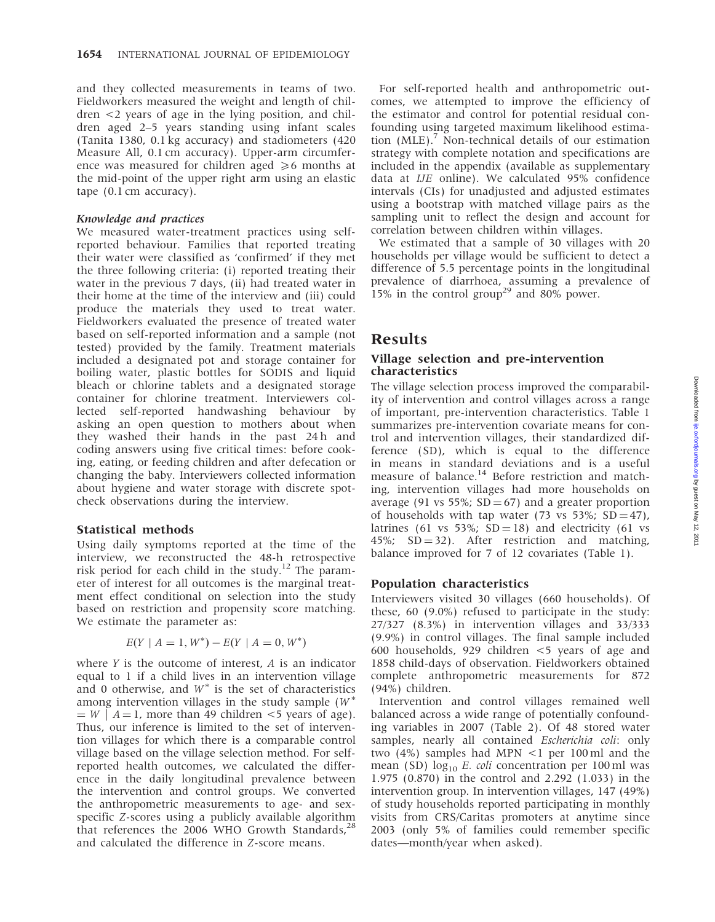and they collected measurements in teams of two. Fieldworkers measured the weight and length of children <2 years of age in the lying position, and children aged 2–5 years standing using infant scales (Tanita 1380, 0.1 kg accuracy) and stadiometers (420 Measure All, 0.1 cm accuracy). Upper-arm circumference was measured for children aged  $\geq 6$  months at the mid-point of the upper right arm using an elastic tape (0.1 cm accuracy).

#### Knowledge and practices

We measured water-treatment practices using selfreported behaviour. Families that reported treating their water were classified as 'confirmed' if they met the three following criteria: (i) reported treating their water in the previous 7 days, (ii) had treated water in their home at the time of the interview and (iii) could produce the materials they used to treat water. Fieldworkers evaluated the presence of treated water based on self-reported information and a sample (not tested) provided by the family. Treatment materials included a designated pot and storage container for boiling water, plastic bottles for SODIS and liquid bleach or chlorine tablets and a designated storage container for chlorine treatment. Interviewers collected self-reported handwashing behaviour by asking an open question to mothers about when they washed their hands in the past 24h and coding answers using five critical times: before cooking, eating, or feeding children and after defecation or changing the baby. Interviewers collected information about hygiene and water storage with discrete spotcheck observations during the interview.

#### Statistical methods

Using daily symptoms reported at the time of the interview, we reconstructed the 48-h retrospective risk period for each child in the study.<sup>12</sup> The parameter of interest for all outcomes is the marginal treatment effect conditional on selection into the study based on restriction and propensity score matching. We estimate the parameter as:

$$
E(Y \mid A = 1, W^*) - E(Y \mid A = 0, W^*)
$$

where Y is the outcome of interest, A is an indicator equal to 1 if a child lives in an intervention village and 0 otherwise, and  $W^*$  is the set of characteristics among intervention villages in the study sample  $(W^*)$  $=W|A=1$ , more than 49 children <5 years of age). Thus, our inference is limited to the set of intervention villages for which there is a comparable control village based on the village selection method. For selfreported health outcomes, we calculated the difference in the daily longitudinal prevalence between the intervention and control groups. We converted the anthropometric measurements to age- and sexspecific Z-scores using a publicly available algorithm that references the 2006 WHO Growth Standards.<sup>28</sup> and calculated the difference in Z-score means.

For self-reported health and anthropometric outcomes, we attempted to improve the efficiency of the estimator and control for potential residual confounding using targeted maximum likelihood estimation (MLE).<sup>7</sup> Non-technical details of our estimation strategy with complete notation and specifications are included in the appendix (available as supplementary data at IJE online). We calculated 95% confidence intervals (CIs) for unadjusted and adjusted estimates using a bootstrap with matched village pairs as the sampling unit to reflect the design and account for correlation between children within villages.

We estimated that a sample of 30 villages with 20 households per village would be sufficient to detect a difference of 5.5 percentage points in the longitudinal prevalence of diarrhoea, assuming a prevalence of 15% in the control group<sup>29</sup> and 80% power.

## Results

#### Village selection and pre-intervention characteristics

The village selection process improved the comparability of intervention and control villages across a range of important, pre-intervention characteristics. Table 1 summarizes pre-intervention covariate means for control and intervention villages, their standardized difference (SD), which is equal to the difference in means in standard deviations and is a useful measure of balance.<sup>14</sup> Before restriction and matching, intervention villages had more households on average (91 vs 55%;  $SD = 67$ ) and a greater proportion of households with tap water (73 vs 53%;  $SD = 47$ ), latrines (61 vs 53%;  $SD = 18$ ) and electricity (61 vs 45%;  $SD = 32$ ). After restriction and matching, balance improved for 7 of 12 covariates (Table 1).

#### Population characteristics

Interviewers visited 30 villages (660 households). Of these, 60 (9.0%) refused to participate in the study: 27/327 (8.3%) in intervention villages and 33/333 (9.9%) in control villages. The final sample included 600 households, 929 children <5 years of age and 1858 child-days of observation. Fieldworkers obtained complete anthropometric measurements for 872 (94%) children.

Intervention and control villages remained well balanced across a wide range of potentially confounding variables in 2007 (Table 2). Of 48 stored water samples, nearly all contained *Escherichia coli*: only two (4%) samples had MPN <1 per 100 ml and the mean (SD)  $log_{10} E.$  coli concentration per 100 ml was 1.975 (0.870) in the control and 2.292 (1.033) in the intervention group. In intervention villages, 147 (49%) of study households reported participating in monthly visits from CRS/Caritas promoters at anytime since 2003 (only 5% of families could remember specific dates—month/year when asked).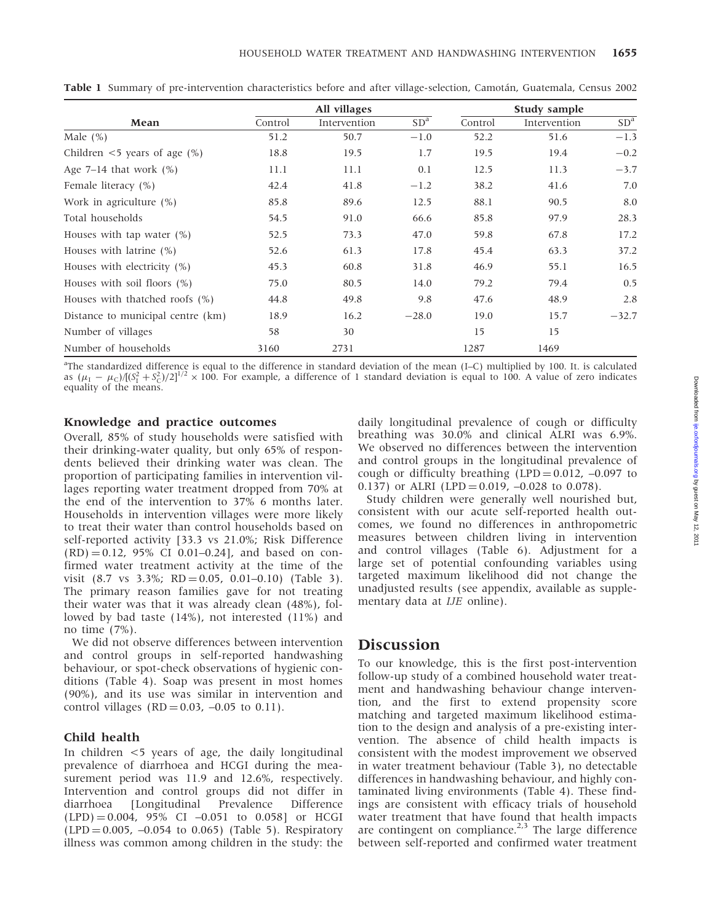|                                   |         | All villages |                 | Study sample |              |                 |  |
|-----------------------------------|---------|--------------|-----------------|--------------|--------------|-----------------|--|
| Mean                              | Control | Intervention | SD <sup>a</sup> | Control      | Intervention | SD <sup>a</sup> |  |
| Male $(\% )$                      | 51.2    | 50.7         | $-1.0$          | 52.2         | 51.6         | $-1.3$          |  |
| Children $\leq$ years of age (%)  | 18.8    | 19.5         | 1.7             | 19.5         | 19.4         | $-0.2$          |  |
| Age $7-14$ that work $(\%)$       | 11.1    | 11.1         | 0.1             | 12.5         | 11.3         | $-3.7$          |  |
| Female literacy (%)               | 42.4    | 41.8         | $-1.2$          | 38.2         | 41.6         | 7.0             |  |
| Work in agriculture $(\%)$        | 85.8    | 89.6         | 12.5            | 88.1         | 90.5         | 8.0             |  |
| Total households                  | 54.5    | 91.0         | 66.6            | 85.8         | 97.9         | 28.3            |  |
| Houses with tap water $(\%)$      | 52.5    | 73.3         | 47.0            | 59.8         | 67.8         | 17.2            |  |
| Houses with latrine $(\%)$        | 52.6    | 61.3         | 17.8            | 45.4         | 63.3         | 37.2            |  |
| Houses with electricity (%)       | 45.3    | 60.8         | 31.8            | 46.9         | 55.1         | 16.5            |  |
| Houses with soil floors $(\%)$    | 75.0    | 80.5         | 14.0            | 79.2         | 79.4         | 0.5             |  |
| Houses with thatched roofs (%)    | 44.8    | 49.8         | 9.8             | 47.6         | 48.9         | 2.8             |  |
| Distance to municipal centre (km) | 18.9    | 16.2         | $-28.0$         | 19.0         | 15.7         | $-32.7$         |  |
| Number of villages                | 58      | 30           |                 | 15           | 15           |                 |  |
| Number of households              | 3160    | 2731         |                 | 1287         | 1469         |                 |  |

Table 1 Summary of pre-intervention characteristics before and after village-selection, Camotán, Guatemala, Census 2002

a The standardized difference is equal to the difference in standard deviation of the mean (I–C) multiplied by 100. It. is calculated as  $(\mu_I - \mu_C)/[(S_1^2 + S_C^2)/2]^{1/2} \times 100$ . For example, a difference of 1 standard deviation is equal to 100. A value of zero indicates equality of the means.

## Knowledge and practice outcomes

Overall, 85% of study households were satisfied with their drinking-water quality, but only 65% of respondents believed their drinking water was clean. The proportion of participating families in intervention villages reporting water treatment dropped from 70% at the end of the intervention to 37% 6 months later. Households in intervention villages were more likely to treat their water than control households based on self-reported activity [33.3 vs 21.0%; Risk Difference  $(RD) = 0.12$ , 95% CI 0.01–0.24], and based on confirmed water treatment activity at the time of the visit (8.7 vs  $3.3\%$ ; RD = 0.05, 0.01–0.10) (Table 3). The primary reason families gave for not treating their water was that it was already clean (48%), followed by bad taste (14%), not interested (11%) and no time (7%).

We did not observe differences between intervention and control groups in self-reported handwashing behaviour, or spot-check observations of hygienic conditions (Table 4). Soap was present in most homes (90%), and its use was similar in intervention and control villages  $(RD = 0.03, -0.05$  to 0.11).

## Child health

In children <5 years of age, the daily longitudinal prevalence of diarrhoea and HCGI during the measurement period was 11.9 and 12.6%, respectively. Intervention and control groups did not differ in diarrhoea [Longitudinal Prevalence Difference  $(LPD) = 0.004$ , 95% CI –0.051 to 0.058] or HCGI  $(LPD = 0.005, -0.054$  to 0.065) (Table 5). Respiratory illness was common among children in the study: the daily longitudinal prevalence of cough or difficulty breathing was 30.0% and clinical ALRI was 6.9%. We observed no differences between the intervention and control groups in the longitudinal prevalence of cough or difficulty breathing  $(LPD = 0.012, -0.097)$  to 0.137) or ALRI (LPD = 0.019,  $-0.028$  to 0.078).

Study children were generally well nourished but, consistent with our acute self-reported health outcomes, we found no differences in anthropometric measures between children living in intervention and control villages (Table 6). Adjustment for a large set of potential confounding variables using targeted maximum likelihood did not change the unadjusted results (see appendix, available as supplementary data at IJE online).

## **Discussion**

To our knowledge, this is the first post-intervention follow-up study of a combined household water treatment and handwashing behaviour change intervention, and the first to extend propensity score matching and targeted maximum likelihood estimation to the design and analysis of a pre-existing intervention. The absence of child health impacts is consistent with the modest improvement we observed in water treatment behaviour (Table 3), no detectable differences in handwashing behaviour, and highly contaminated living environments (Table 4). These findings are consistent with efficacy trials of household water treatment that have found that health impacts are contingent on compliance. $2.3$  The large difference between self-reported and confirmed water treatment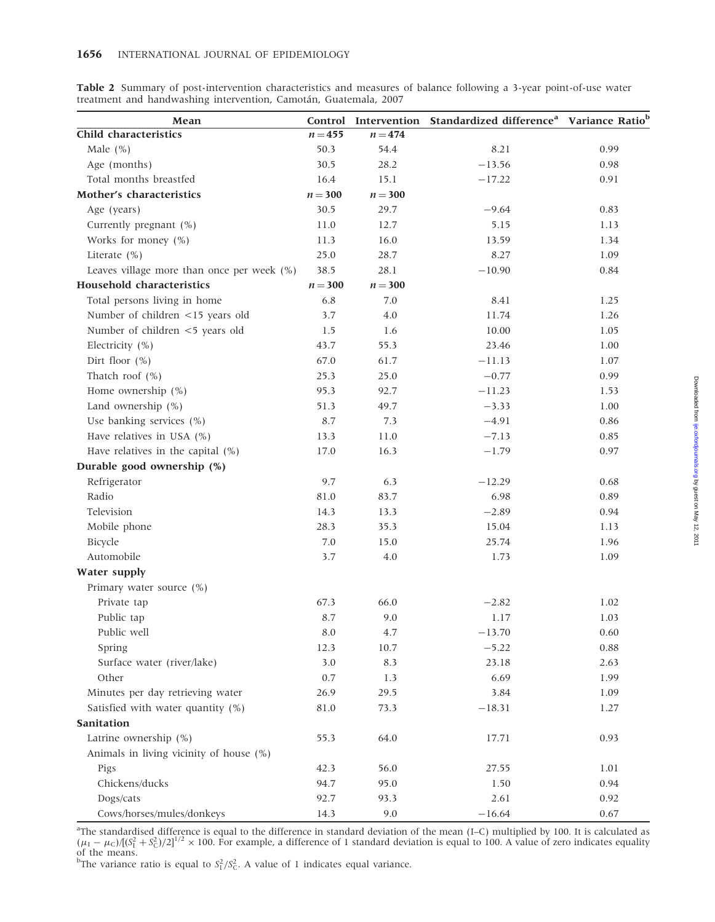| Table 2 Summary of post-intervention characteristics and measures of balance following a 3-year point-of-use water |  |  |  |  |
|--------------------------------------------------------------------------------------------------------------------|--|--|--|--|
| treatment and handwashing intervention, Camotán, Guatemala, 2007                                                   |  |  |  |  |

| Mean                                          |           |           | Control Intervention Standardized difference <sup>a</sup> Variance Ratio <sup>b</sup> |          |  |
|-----------------------------------------------|-----------|-----------|---------------------------------------------------------------------------------------|----------|--|
| <b>Child characteristics</b>                  | $n = 455$ | $n = 474$ |                                                                                       |          |  |
| Male $(\% )$                                  | 50.3      | 54.4      | 8.21                                                                                  | 0.99     |  |
| Age (months)                                  | 30.5      | 28.2      | $-13.56$                                                                              | 0.98     |  |
| Total months breastfed                        | 16.4      | 15.1      | $-17.22$                                                                              | 0.91     |  |
| Mother's characteristics                      | $n = 300$ | $n = 300$ |                                                                                       |          |  |
| Age (years)                                   | 30.5      | 29.7      | $-9.64$                                                                               | 0.83     |  |
| Currently pregnant (%)                        | 11.0      | 12.7      | 5.15                                                                                  | 1.13     |  |
| Works for money (%)                           | 11.3      | 16.0      | 13.59                                                                                 | 1.34     |  |
| Literate $(\% )$                              | 25.0      | 28.7      | 8.27                                                                                  | 1.09     |  |
| Leaves village more than once per week $(\%)$ | 38.5      | 28.1      | $-10.90$                                                                              | 0.84     |  |
| Household characteristics                     | $n = 300$ | $n = 300$ |                                                                                       |          |  |
| Total persons living in home                  | 6.8       | 7.0       | 8.41                                                                                  | 1.25     |  |
| Number of children <15 years old              | 3.7       | 4.0       | 11.74                                                                                 | 1.26     |  |
| Number of children <5 years old               | 1.5       | 1.6       | 10.00                                                                                 | 1.05     |  |
| Electricity $(\% )$                           | 43.7      | 55.3      | 23.46                                                                                 | 1.00     |  |
| Dirt floor $(\%)$                             | 67.0      | 61.7      | $-11.13$                                                                              | 1.07     |  |
| Thatch roof $(\%)$                            | 25.3      | 25.0      | $-0.77$                                                                               | 0.99     |  |
| Home ownership $(\%)$                         | 95.3      | 92.7      | $-11.23$                                                                              | 1.53     |  |
| Land ownership $(\%)$                         | 51.3      | 49.7      | $-3.33$                                                                               | 1.00     |  |
| Use banking services (%)                      | 8.7       | 7.3       | $-4.91$                                                                               | 0.86     |  |
| Have relatives in USA $(%)$                   | 13.3      | 11.0      | $-7.13$                                                                               | 0.85     |  |
| Have relatives in the capital $(\%)$          | 17.0      | 16.3      | $-1.79$                                                                               | 0.97     |  |
| Durable good ownership (%)                    |           |           |                                                                                       |          |  |
| Refrigerator                                  | 9.7       | 6.3       | $-12.29$                                                                              | 0.68     |  |
| Radio                                         | 81.0      | 83.7      | 6.98                                                                                  | 0.89     |  |
| Television                                    | 14.3      | 13.3      | $-2.89$                                                                               | 0.94     |  |
| Mobile phone                                  | 28.3      | 35.3      | 15.04                                                                                 | 1.13     |  |
| Bicycle                                       | 7.0       | 15.0      | 25.74                                                                                 | 1.96     |  |
| Automobile                                    | 3.7       | 4.0       | 1.73                                                                                  | 1.09     |  |
| Water supply                                  |           |           |                                                                                       |          |  |
| Primary water source (%)                      |           |           |                                                                                       |          |  |
| Private tap                                   | 67.3      | 66.0      | $-2.82$                                                                               | 1.02     |  |
| Public tap                                    | 8.7       | 9.0       | 1.17                                                                                  | 1.03     |  |
| Public well                                   | $8.0\,$   | 4.7       | $-13.70$                                                                              | $0.60\,$ |  |
| Spring                                        | 12.3      | 10.7      | $-5.22$                                                                               | 0.88     |  |
| Surface water (river/lake)                    | 3.0       | 8.3       | 23.18                                                                                 | 2.63     |  |
| Other                                         | 0.7       | 1.3       | 6.69                                                                                  | 1.99     |  |
| Minutes per day retrieving water              | 26.9      | 29.5      | 3.84                                                                                  | 1.09     |  |
| Satisfied with water quantity (%)             | 81.0      | 73.3      | $-18.31$                                                                              | 1.27     |  |
| Sanitation                                    |           |           |                                                                                       |          |  |
| Latrine ownership $(\%)$                      | 55.3      | 64.0      | 17.71                                                                                 | 0.93     |  |
| Animals in living vicinity of house (%)       |           |           |                                                                                       |          |  |
| Pigs                                          | 42.3      | 56.0      | 27.55                                                                                 | 1.01     |  |
| Chickens/ducks                                | 94.7      | 95.0      | 1.50                                                                                  | 0.94     |  |
| Dogs/cats                                     | 92.7      | 93.3      | 2.61                                                                                  | 0.92     |  |
| Cows/horses/mules/donkeys                     | 14.3      | $9.0\,$   | $-16.64$                                                                              | 0.67     |  |

<sup>a</sup>The standardised difference is equal to the difference in standard deviation of the mean (I–C) multiplied by 100. It is calculated as  $(\mu_1 - \mu_c)/[(S_1^2 + S_c^2)/2]^{1/2} \times 100$ . For example, a difference of 1 standard deviat

of the means.<br><sup>b</sup>The variance ratio is equal to  $S_1^2/S_C^2$ . A value of 1 indicates equal variance.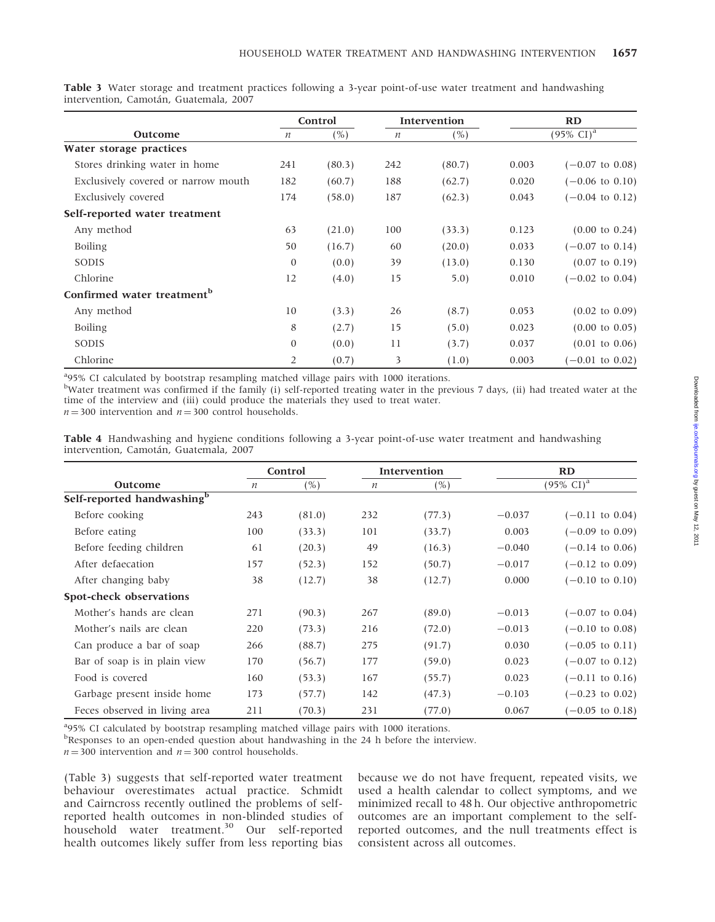|                                        |                  | Control | Intervention     |        | RD    |                                |
|----------------------------------------|------------------|---------|------------------|--------|-------|--------------------------------|
| <b>Outcome</b>                         | $\boldsymbol{n}$ | (%)     | $\boldsymbol{n}$ | (%)    |       | $(95\% \text{ CI})^{\text{a}}$ |
| Water storage practices                |                  |         |                  |        |       |                                |
| Stores drinking water in home          | 241              | (80.3)  | 242              | (80.7) | 0.003 | $(-0.07 \text{ to } 0.08)$     |
| Exclusively covered or narrow mouth    | 182              | (60.7)  | 188              | (62.7) | 0.020 | $(-0.06 \text{ to } 0.10)$     |
| Exclusively covered                    | 174              | (58.0)  | 187              | (62.3) | 0.043 | $(-0.04 \text{ to } 0.12)$     |
| Self-reported water treatment          |                  |         |                  |        |       |                                |
| Any method                             | 63               | (21.0)  | 100              | (33.3) | 0.123 | $(0.00 \text{ to } 0.24)$      |
| <b>Boiling</b>                         | 50               | (16.7)  | 60               | (20.0) | 0.033 | $(-0.07 \text{ to } 0.14)$     |
| SODIS                                  | $\mathbf{0}$     | (0.0)   | 39               | (13.0) | 0.130 | $(0.07 \text{ to } 0.19)$      |
| Chlorine                               | 12               | (4.0)   | 15               | 5.0)   | 0.010 | $(-0.02 \text{ to } 0.04)$     |
| Confirmed water treatment <sup>b</sup> |                  |         |                  |        |       |                                |
| Any method                             | 10               | (3.3)   | 26               | (8.7)  | 0.053 | $(0.02 \text{ to } 0.09)$      |
| Boiling                                | 8                | (2.7)   | 15               | (5.0)  | 0.023 | $(0.00 \text{ to } 0.05)$      |
| SODIS                                  | $\mathbf{0}$     | (0.0)   | 11               | (3.7)  | 0.037 | $(0.01 \text{ to } 0.06)$      |
| Chlorine                               | 2                | (0.7)   | 3                | (1.0)  | 0.003 | $(-0.01 \text{ to } 0.02)$     |

Table 3 Water storage and treatment practices following a 3-year point-of-use water treatment and handwashing intervention, Camotán, Guatemala, 2007

<sup>a</sup>95% CI calculated by bootstrap resampling matched village pairs with 1000 iterations.

bWater treatment was confirmed if the family (i) self-reported treating water in the previous 7 days, (ii) had treated water at the time of the interview and (iii) could produce the materials they used to treat water.

 $n = 300$  intervention and  $n = 300$  control households.

Table 4 Handwashing and hygiene conditions following a 3-year point-of-use water treatment and handwashing intervention, Camotán, Guatemala, 2007

|                                        |                  | Control |                  | Intervention |          | RD                             |  |  |
|----------------------------------------|------------------|---------|------------------|--------------|----------|--------------------------------|--|--|
| <b>Outcome</b>                         | $\boldsymbol{n}$ | $(\%)$  | $\boldsymbol{n}$ | (% )         |          | $(95\% \text{ CI})^{\text{a}}$ |  |  |
| Self-reported handwashing <sup>b</sup> |                  |         |                  |              |          |                                |  |  |
| Before cooking                         | 243              | (81.0)  | 232              | (77.3)       | $-0.037$ | $(-0.11 \text{ to } 0.04)$     |  |  |
| Before eating                          | 100              | (33.3)  | 101              | (33.7)       | 0.003    | $(-0.09 \text{ to } 0.09)$     |  |  |
| Before feeding children                | 61               | (20.3)  | 49               | (16.3)       | $-0.040$ | $(-0.14 \text{ to } 0.06)$     |  |  |
| After defaecation                      | 157              | (52.3)  | 152              | (50.7)       | $-0.017$ | $(-0.12 \text{ to } 0.09)$     |  |  |
| After changing baby                    | 38               | (12.7)  | 38               | (12.7)       | 0.000    | $(-0.10 \text{ to } 0.10)$     |  |  |
| Spot-check observations                |                  |         |                  |              |          |                                |  |  |
| Mother's hands are clean               | 271              | (90.3)  | 267              | (89.0)       | $-0.013$ | $(-0.07 \text{ to } 0.04)$     |  |  |
| Mother's nails are clean               | 220              | (73.3)  | 216              | (72.0)       | $-0.013$ | $(-0.10 \text{ to } 0.08)$     |  |  |
| Can produce a bar of soap              | 266              | (88.7)  | 275              | (91.7)       | 0.030    | $(-0.05 \text{ to } 0.11)$     |  |  |
| Bar of soap is in plain view           | 170              | (56.7)  | 177              | (59.0)       | 0.023    | $(-0.07 \text{ to } 0.12)$     |  |  |
| Food is covered                        | 160              | (53.3)  | 167              | (55.7)       | 0.023    | $(-0.11 \text{ to } 0.16)$     |  |  |
| Garbage present inside home            | 173              | (57.7)  | 142              | (47.3)       | $-0.103$ | $(-0.23 \text{ to } 0.02)$     |  |  |
| Feces observed in living area          | 211              | (70.3)  | 231              | (77.0)       | 0.067    | $(-0.05 \text{ to } 0.18)$     |  |  |

<sup>a</sup>95% CI calculated by bootstrap resampling matched village pairs with 1000 iterations.

<sup>b</sup>Responses to an open-ended question about handwashing in the 24 h before the interview.

 $n = 300$  intervention and  $n = 300$  control households.

(Table 3) suggests that self-reported water treatment behaviour overestimates actual practice. Schmidt and Cairncross recently outlined the problems of selfreported health outcomes in non-blinded studies of household water treatment.<sup>30</sup> Our self-reported health outcomes likely suffer from less reporting bias

because we do not have frequent, repeated visits, we used a health calendar to collect symptoms, and we minimized recall to 48 h. Our objective anthropometric outcomes are an important complement to the selfreported outcomes, and the null treatments effect is consistent across all outcomes.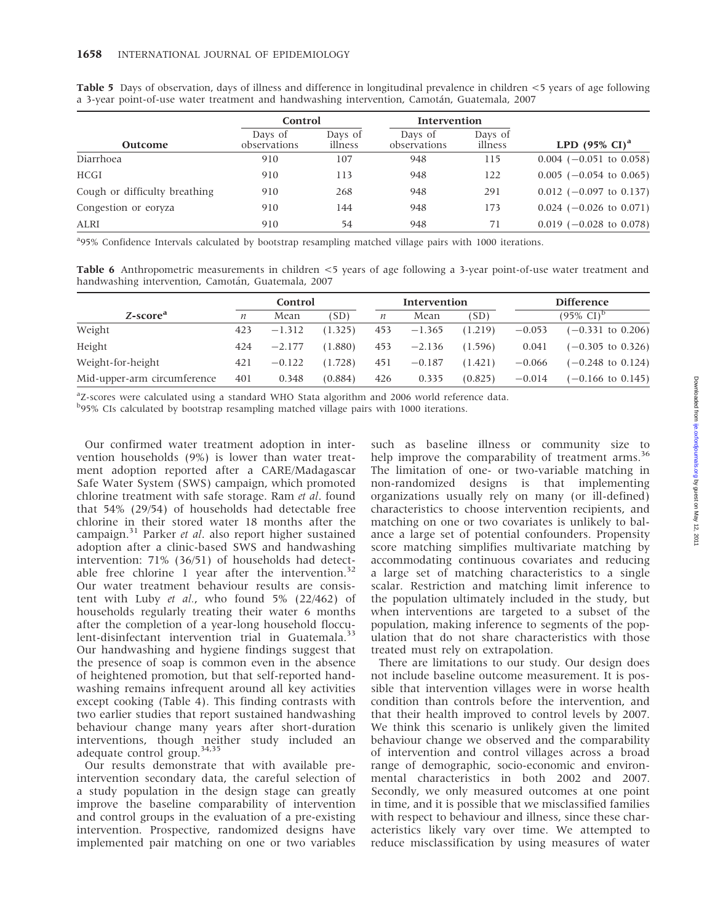|                               | Control                 |                    | Intervention            |                    |                                    |
|-------------------------------|-------------------------|--------------------|-------------------------|--------------------|------------------------------------|
| <b>Outcome</b>                | Days of<br>observations | Days of<br>illness | Days of<br>observations | Days of<br>illness | LPD $(95\% \text{ CI})^{\text{a}}$ |
| Diarrhoea                     | 910                     | 107                | 948                     | 115                | $0.004$ (-0.051 to 0.058)          |
| HCGI                          | 910                     | 113                | 948                     | 122                | $0.005$ ( $-0.054$ to $0.065$ )    |
| Cough or difficulty breathing | 910                     | 268                | 948                     | 291                | $0.012$ (-0.097 to 0.137)          |
| Congestion or eoryza          | 910                     | 144                | 948                     | 173                | $0.024$ (-0.026 to 0.071)          |
| ALRI                          | 910                     | 54                 | 948                     | 71                 | $0.019$ (-0.028 to 0.078)          |

Table 5 Days of observation, days of illness and difference in longitudinal prevalence in children <5 years of age following a 3-year point-of-use water treatment and handwashing intervention, Camotán, Guatemala, 2007

a<sub>95%</sub> Confidence Intervals calculated by bootstrap resampling matched village pairs with 1000 iterations.

Table 6 Anthropometric measurements in children <5 years of age following a 3-year point-of-use water treatment and handwashing intervention, Camotán, Guatemala, 2007

|                             | Control |          |         | Intervention     |          |         | <b>Difference</b>              |                              |  |
|-----------------------------|---------|----------|---------|------------------|----------|---------|--------------------------------|------------------------------|--|
| Z-score <sup>a</sup>        | п       | Mean     | (SD)    | $\boldsymbol{n}$ | Mean     | (SD)    | $(95\% \text{ CI})^{\text{D}}$ |                              |  |
| Weight                      | 423     | $-1.312$ | (1.325) | 453              | $-1.365$ | (1.219) | $-0.053$                       | $(-0.331$ to 0.206)          |  |
| Height                      | 424     | $-2.177$ | (1.880) | 453              | $-2.136$ | (1.596) | 0.041                          | $(-0.305 \text{ to } 0.326)$ |  |
| Weight-for-height           | 421     | $-0.122$ | 1.728   | 451              | $-0.187$ | (1.421) | $-0.066$                       | $(-0.248 \text{ to } 0.124)$ |  |
| Mid-upper-arm circumference | 401     | 0.348    | (0.884) | 426              | 0.335    | (0.825) | $-0.014$                       | $(-0.166 \text{ to } 0.145)$ |  |

<sup>a</sup>Z-scores were calculated using a standard WHO Stata algorithm and 2006 world reference data. b95% CIs calculated by bootstrap resampling matched village pairs with 1000 iterations.

Our confirmed water treatment adoption in intervention households (9%) is lower than water treatment adoption reported after a CARE/Madagascar Safe Water System (SWS) campaign, which promoted chlorine treatment with safe storage. Ram et al. found that 54% (29/54) of households had detectable free chlorine in their stored water 18 months after the campaign.<sup>31</sup> Parker et al. also report higher sustained adoption after a clinic-based SWS and handwashing intervention: 71% (36/51) of households had detectable free chlorine 1 year after the intervention.<sup>32</sup> Our water treatment behaviour results are consistent with Luby et al., who found 5% (22/462) of households regularly treating their water 6 months after the completion of a year-long household flocculent-disinfectant intervention trial in Guatemala.<sup>33</sup> Our handwashing and hygiene findings suggest that the presence of soap is common even in the absence of heightened promotion, but that self-reported handwashing remains infrequent around all key activities except cooking (Table 4). This finding contrasts with two earlier studies that report sustained handwashing behaviour change many years after short-duration interventions, though neither study included an adequate control group.34,35

Our results demonstrate that with available preintervention secondary data, the careful selection of a study population in the design stage can greatly improve the baseline comparability of intervention and control groups in the evaluation of a pre-existing intervention. Prospective, randomized designs have implemented pair matching on one or two variables

such as baseline illness or community size to help improve the comparability of treatment arms.<sup>36</sup> The limitation of one- or two-variable matching in non-randomized designs is that implementing organizations usually rely on many (or ill-defined) characteristics to choose intervention recipients, and matching on one or two covariates is unlikely to balance a large set of potential confounders. Propensity score matching simplifies multivariate matching by accommodating continuous covariates and reducing a large set of matching characteristics to a single scalar. Restriction and matching limit inference to the population ultimately included in the study, but when interventions are targeted to a subset of the population, making inference to segments of the population that do not share characteristics with those treated must rely on extrapolation.

There are limitations to our study. Our design does not include baseline outcome measurement. It is possible that intervention villages were in worse health condition than controls before the intervention, and that their health improved to control levels by 2007. We think this scenario is unlikely given the limited behaviour change we observed and the comparability of intervention and control villages across a broad range of demographic, socio-economic and environmental characteristics in both 2002 and 2007. Secondly, we only measured outcomes at one point in time, and it is possible that we misclassified families with respect to behaviour and illness, since these characteristics likely vary over time. We attempted to reduce misclassification by using measures of water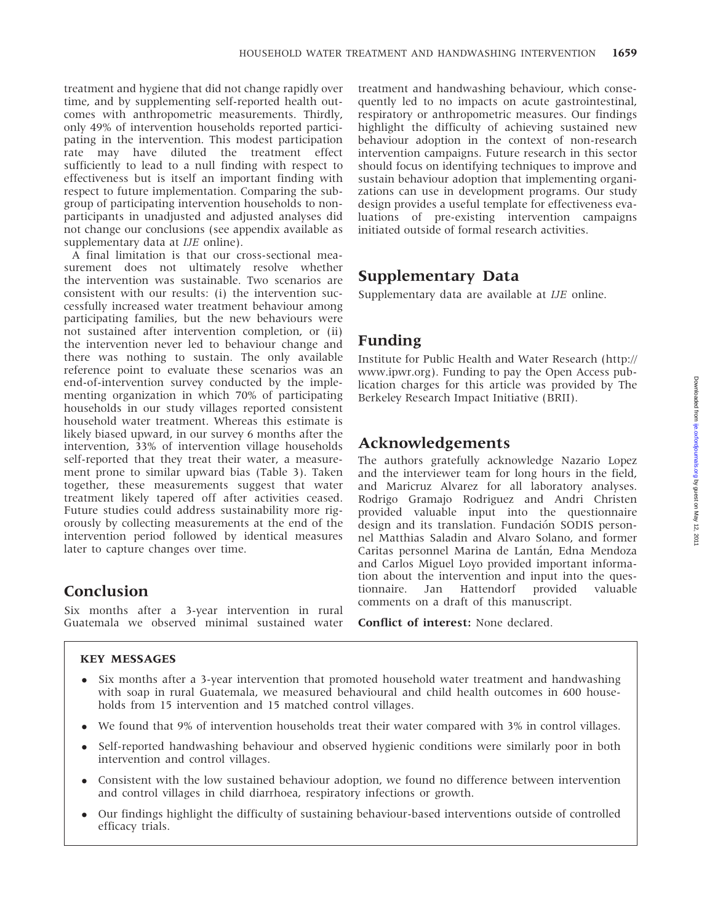treatment and hygiene that did not change rapidly over time, and by supplementing self-reported health outcomes with anthropometric measurements. Thirdly, only 49% of intervention households reported participating in the intervention. This modest participation rate may have diluted the treatment effect sufficiently to lead to a null finding with respect to effectiveness but is itself an important finding with respect to future implementation. Comparing the subgroup of participating intervention households to nonparticipants in unadjusted and adjusted analyses did not change our conclusions (see appendix available as supplementary data at IJE online).

A final limitation is that our cross-sectional measurement does not ultimately resolve whether the intervention was sustainable. Two scenarios are consistent with our results: (i) the intervention successfully increased water treatment behaviour among participating families, but the new behaviours were not sustained after intervention completion, or (ii) the intervention never led to behaviour change and there was nothing to sustain. The only available reference point to evaluate these scenarios was an end-of-intervention survey conducted by the implementing organization in which 70% of participating households in our study villages reported consistent household water treatment. Whereas this estimate is likely biased upward, in our survey 6 months after the intervention, 33% of intervention village households self-reported that they treat their water, a measurement prone to similar upward bias (Table 3). Taken together, these measurements suggest that water treatment likely tapered off after activities ceased. Future studies could address sustainability more rigorously by collecting measurements at the end of the intervention period followed by identical measures later to capture changes over time.

# Conclusion

Six months after a 3-year intervention in rural Guatemala we observed minimal sustained water

treatment and handwashing behaviour, which consequently led to no impacts on acute gastrointestinal, respiratory or anthropometric measures. Our findings highlight the difficulty of achieving sustained new behaviour adoption in the context of non-research intervention campaigns. Future research in this sector should focus on identifying techniques to improve and sustain behaviour adoption that implementing organizations can use in development programs. Our study design provides a useful template for effectiveness evaluations of pre-existing intervention campaigns initiated outside of formal research activities.

# Supplementary Data

Supplementary data are available at IJE online.

# Funding

Institute for Public Health and Water Research [\(http://](http://) www.ipwr.org). Funding to pay the Open Access publication charges for this article was provided by The Berkeley Research Impact Initiative (BRII).

## Acknowledgements

The authors gratefully acknowledge Nazario Lopez and the interviewer team for long hours in the field, and Maricruz Alvarez for all laboratory analyses. Rodrigo Gramajo Rodriguez and Andri Christen provided valuable input into the questionnaire design and its translation. Fundación SODIS personnel Matthias Saladin and Alvaro Solano, and former Caritas personnel Marina de Lantán, Edna Mendoza and Carlos Miguel Loyo provided important information about the intervention and input into the questionnaire. Jan Hattendorf provided valuable comments on a draft of this manuscript.

Conflict of interest: None declared.

## KEY MESSAGES

- Six months after a 3-year intervention that promoted household water treatment and handwashing with soap in rural Guatemala, we measured behavioural and child health outcomes in 600 households from 15 intervention and 15 matched control villages.
- We found that 9% of intervention households treat their water compared with 3% in control villages.
- Self-reported handwashing behaviour and observed hygienic conditions were similarly poor in both intervention and control villages.
- Consistent with the low sustained behaviour adoption, we found no difference between intervention and control villages in child diarrhoea, respiratory infections or growth.
- Our findings highlight the difficulty of sustaining behaviour-based interventions outside of controlled efficacy trials.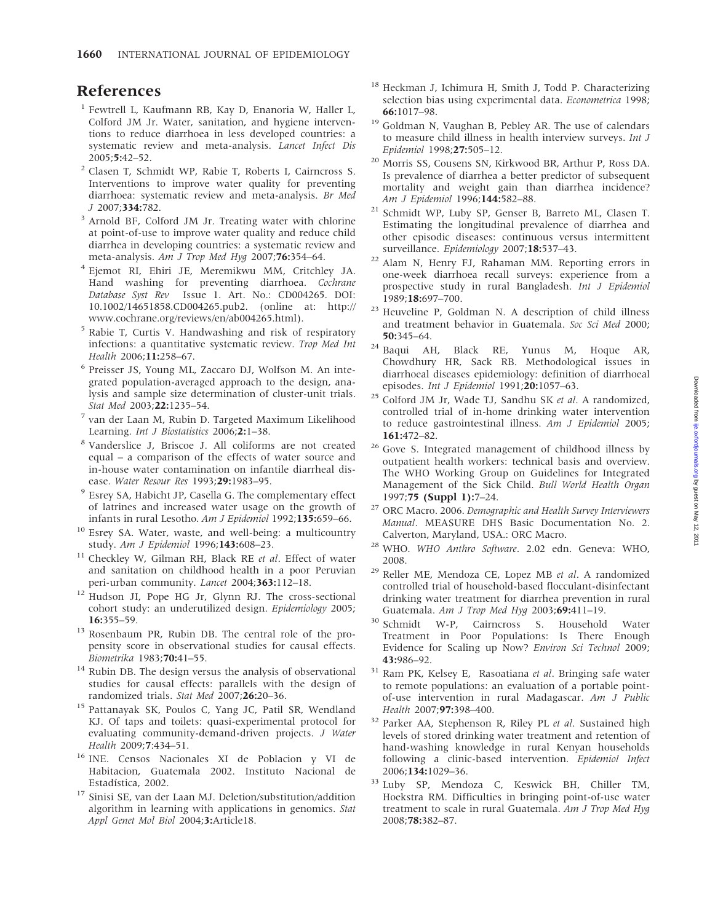## References

- <sup>1</sup> Fewtrell L, Kaufmann RB, Kay D, Enanoria W, Haller L, Colford JM Jr. Water, sanitation, and hygiene interventions to reduce diarrhoea in less developed countries: a systematic review and meta-analysis. Lancet Infect Dis 2005;5:42–52.
- <sup>2</sup> Clasen T, Schmidt WP, Rabie T, Roberts I, Cairncross S. Interventions to improve water quality for preventing diarrhoea: systematic review and meta-analysis. Br Med J 2007;334:782.
- <sup>3</sup> Arnold BF, Colford JM Jr. Treating water with chlorine at point-of-use to improve water quality and reduce child diarrhea in developing countries: a systematic review and meta-analysis. Am J Trop Med Hyg 2007;76:354–64.
- <sup>4</sup> Ejemot RI, Ehiri JE, Meremikwu MM, Critchley JA. Hand washing for preventing diarrhoea. Cochrane Database Syst Rev Issue 1. Art. No.: CD004265. DOI: 10.1002/14651858.CD004265.pub2. (online at:<http://> www.cochrane.org/reviews/en/ab004265.html).
- <sup>5</sup> Rabie T, Curtis V. Handwashing and risk of respiratory infections: a quantitative systematic review. Trop Med Int Health 2006;11:258–67.
- <sup>6</sup> Preisser JS, Young ML, Zaccaro DJ, Wolfson M. An integrated population-averaged approach to the design, analysis and sample size determination of cluster-unit trials. Stat Med 2003;22:1235-54.
- <sup>7</sup> van der Laan M, Rubin D. Targeted Maximum Likelihood Learning. Int J Biostatistics 2006;2:1-38.
- <sup>8</sup> Vanderslice J, Briscoe J. All coliforms are not created equal – a comparison of the effects of water source and in-house water contamination on infantile diarrheal disease. Water Resour Res 1993;29:1983–95.
- <sup>9</sup> Esrey SA, Habicht JP, Casella G. The complementary effect of latrines and increased water usage on the growth of infants in rural Lesotho. Am J Epidemiol 1992;135:659-66.
- <sup>10</sup> Esrey SA. Water, waste, and well-being: a multicountry study. Am J Epidemiol 1996;143:608-23.
- <sup>11</sup> Checkley W, Gilman RH, Black RE et al. Effect of water and sanitation on childhood health in a poor Peruvian peri-urban community. Lancet 2004;363:112-18.
- <sup>12</sup> Hudson JI, Pope HG Jr, Glynn RJ. The cross-sectional cohort study: an underutilized design. Epidemiology 2005; 16:355–59.
- <sup>13</sup> Rosenbaum PR, Rubin DB. The central role of the propensity score in observational studies for causal effects. Biometrika 1983;70:41–55.
- <sup>14</sup> Rubin DB. The design versus the analysis of observational studies for causal effects: parallels with the design of randomized trials. Stat Med 2007;26:20-36.
- <sup>15</sup> Pattanayak SK, Poulos C, Yang JC, Patil SR, Wendland KJ. Of taps and toilets: quasi-experimental protocol for evaluating community-demand-driven projects. J Water Health 2009;7:434–51.
- <sup>16</sup> INE. Censos Nacionales XI de Poblacion y VI de Habitacion, Guatemala 2002. Instituto Nacional de Estadística, 2002.
- <sup>17</sup> Sinisi SE, van der Laan MJ. Deletion/substitution/addition algorithm in learning with applications in genomics. Stat Appl Genet Mol Biol 2004;3:Article18.
- <sup>18</sup> Heckman J, Ichimura H, Smith J, Todd P. Characterizing selection bias using experimental data. Econometrica 1998; 66:1017–98.
- <sup>19</sup> Goldman N, Vaughan B, Pebley AR. The use of calendars to measure child illness in health interview surveys. Int J Epidemiol 1998;27:505–12.
- <sup>20</sup> Morris SS, Cousens SN, Kirkwood BR, Arthur P, Ross DA. Is prevalence of diarrhea a better predictor of subsequent mortality and weight gain than diarrhea incidence? Am J Epidemiol 1996;144:582–88.
- <sup>21</sup> Schmidt WP, Luby SP, Genser B, Barreto ML, Clasen T. Estimating the longitudinal prevalence of diarrhea and other episodic diseases: continuous versus intermittent surveillance. Epidemiology 2007;18:537-43.
- <sup>22</sup> Alam N, Henry FJ, Rahaman MM. Reporting errors in one-week diarrhoea recall surveys: experience from a prospective study in rural Bangladesh. Int J Epidemiol 1989;18:697–700.
- <sup>23</sup> Heuveline P, Goldman N. A description of child illness and treatment behavior in Guatemala. Soc Sci Med 2000; 50:345–64.
- <sup>24</sup> Baqui AH, Black RE, Yunus M, Hoque AR, Chowdhury HR, Sack RB. Methodological issues in diarrhoeal diseases epidemiology: definition of diarrhoeal episodes. Int J Epidemiol 1991;20:1057-63.
- <sup>25</sup> Colford JM Jr, Wade TJ, Sandhu SK et al. A randomized, controlled trial of in-home drinking water intervention to reduce gastrointestinal illness. Am J Epidemiol 2005; 161:472–82.
- <sup>26</sup> Gove S. Integrated management of childhood illness by outpatient health workers: technical basis and overview. The WHO Working Group on Guidelines for Integrated Management of the Sick Child. Bull World Health Organ 1997;75 (Suppl 1):7–24.
- <sup>27</sup> ORC Macro. 2006. Demographic and Health Survey Interviewers Manual. MEASURE DHS Basic Documentation No. 2. Calverton, Maryland, USA.: ORC Macro.
- <sup>28</sup> WHO. WHO Anthro Software. 2.02 edn. Geneva: WHO, 2008.
- <sup>29</sup> Reller ME, Mendoza CE, Lopez MB et al. A randomized controlled trial of household-based flocculant-disinfectant drinking water treatment for diarrhea prevention in rural Guatemala. Am J Trop Med Hyg 2003;69:411-19.
- <sup>30</sup> Schmidt W-P, Cairncross S. Household Water Treatment in Poor Populations: Is There Enough Evidence for Scaling up Now? Environ Sci Technol 2009; 43:986–92.
- $31$  Ram PK, Kelsey E, Rasoatiana et al. Bringing safe water to remote populations: an evaluation of a portable pointof-use intervention in rural Madagascar. Am J Public Health 2007;97:398–400.
- <sup>32</sup> Parker AA, Stephenson R, Riley PL et al. Sustained high levels of stored drinking water treatment and retention of hand-washing knowledge in rural Kenyan households following a clinic-based intervention. Epidemiol Infect 2006;134:1029–36.
- <sup>33</sup> Luby SP, Mendoza C, Keswick BH, Chiller TM, Hoekstra RM. Difficulties in bringing point-of-use water treatment to scale in rural Guatemala. Am J Trop Med Hyg 2008;78:382–87.